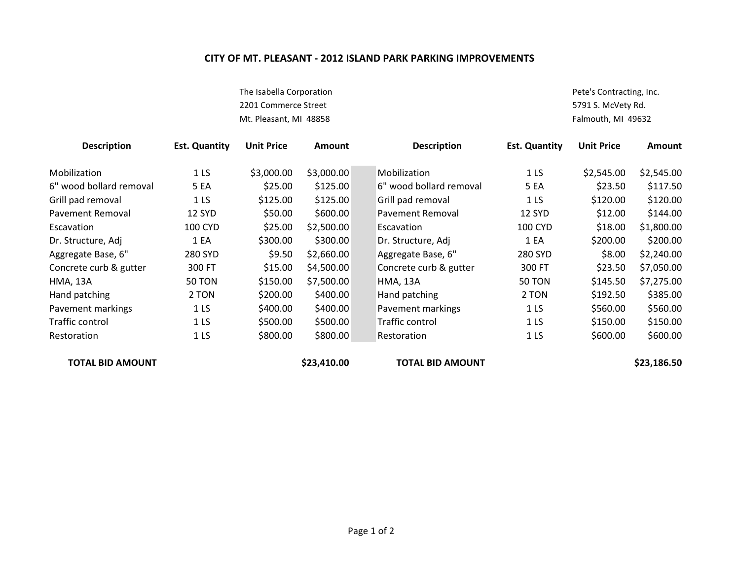## **CITY OF MT. PLEASANT - 2012 ISLAND PARK PARKING IMPROVEMENTS**

The Isabella Corporation **Pete's Contracting, Inc.** 2201 Commerce Street **5791 S. McVety Rd.** Mt. Pleasant, MI 48858 Falmouth, MI 49632

| <b>Description</b>      | <b>Est. Quantity</b> | <b>Unit Price</b> | <b>Amount</b> | <b>Description</b>      | <b>Est. Quantity</b> | <b>Unit Price</b> | <b>Amount</b> |
|-------------------------|----------------------|-------------------|---------------|-------------------------|----------------------|-------------------|---------------|
| Mobilization            | 1 <sub>LS</sub>      | \$3,000.00        | \$3,000.00    | Mobilization            | 1 <sub>LS</sub>      | \$2,545.00        | \$2,545.00    |
| 6" wood bollard removal | <b>5 EA</b>          | \$25.00           | \$125.00      | 6" wood bollard removal | <b>5 EA</b>          | \$23.50           | \$117.50      |
| Grill pad removal       | 1 <sub>LS</sub>      | \$125.00          | \$125.00      | Grill pad removal       | 1 <sub>LS</sub>      | \$120.00          | \$120.00      |
| <b>Pavement Removal</b> | 12 SYD               | \$50.00           | \$600.00      | <b>Pavement Removal</b> | 12 SYD               | \$12.00           | \$144.00      |
| Escavation              | <b>100 CYD</b>       | \$25.00           | \$2,500.00    | Escavation              | <b>100 CYD</b>       | \$18.00           | \$1,800.00    |
| Dr. Structure, Adj      | 1 EA                 | \$300.00          | \$300.00      | Dr. Structure, Adj      | 1 EA                 | \$200.00          | \$200.00      |
| Aggregate Base, 6"      | 280 SYD              | \$9.50            | \$2,660.00    | Aggregate Base, 6"      | 280 SYD              | \$8.00            | \$2,240.00    |
| Concrete curb & gutter  | 300 FT               | \$15.00           | \$4,500.00    | Concrete curb & gutter  | 300 FT               | \$23.50           | \$7,050.00    |
| <b>HMA, 13A</b>         | <b>50 TON</b>        | \$150.00          | \$7,500.00    | <b>HMA, 13A</b>         | <b>50 TON</b>        | \$145.50          | \$7,275.00    |
| Hand patching           | 2 TON                | \$200.00          | \$400.00      | Hand patching           | 2 TON                | \$192.50          | \$385.00      |
| Pavement markings       | 1 <sub>LS</sub>      | \$400.00          | \$400.00      | Pavement markings       | 1 <sub>LS</sub>      | \$560.00          | \$560.00      |
| Traffic control         | 1 <sub>LS</sub>      | \$500.00          | \$500.00      | Traffic control         | 1 <sub>LS</sub>      | \$150.00          | \$150.00      |
| Restoration             | 1 LS                 | \$800.00          | \$800.00      | Restoration             | 1 <sub>LS</sub>      | \$600.00          | \$600.00      |
| TOTAL BID AMOUNT        |                      |                   | \$23,410.00   | <b>TOTAL BID AMOUNT</b> |                      |                   | \$23,186.50   |